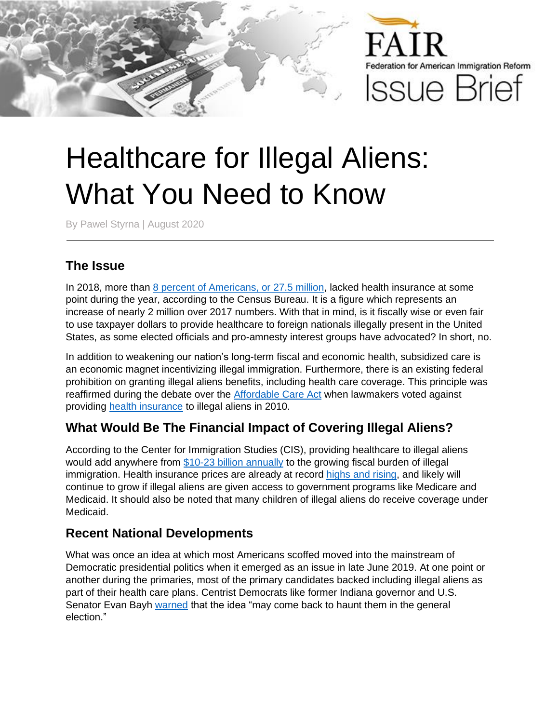

# Healthcare for Illegal Aliens: What You Need to Know

By Pawel Styrna | August 2020

### **The Issue**

In 2018, more than [8 percent of Americans, or 27.5 million,](https://www.census.gov/library/publications/2019/demo/p60-267.html) lacked health insurance at some point during the year, according to the Census Bureau. It is a figure which represents an increase of nearly 2 million over 2017 numbers. With that in mind, is it fiscally wise or even fair to use taxpayer dollars to provide healthcare to foreign nationals illegally present in the United States, as some elected officials and pro-amnesty interest groups have advocated? In short, no.

In addition to weakening our nation's long-term fiscal and economic health, subsidized care is an economic magnet incentivizing illegal immigration. Furthermore, there is an existing federal prohibition on granting illegal aliens benefits, including health care coverage. This principle was reaffirmed during the debate over the [Affordable Care Act](https://www.govinfo.gov/content/pkg/PLAW-111publ148/pdf/PLAW-111publ148.pdf) when lawmakers voted against providing [health insurance](https://www.nilc.org/issues/health-care/immigrantshcr/) to illegal aliens in 2010.

#### **What Would Be The Financial Impact of Covering Illegal Aliens?**

According to the Center for Immigration Studies (CIS), providing healthcare to illegal aliens would add anywhere from [\\$10-23 billion annually](https://cis.org/Report/Cost-of-Health-Insurance-for-Illegal-Immigrants) to the growing fiscal burden of illegal immigration. Health insurance prices are already at record highs [and rising,](https://www.bloomberg.com/news/articles/2019-09-25/why-is-health-insurance-so-expensive-20-000-a-year-for-coverage) and likely will continue to grow if illegal aliens are given access to government programs like Medicare and Medicaid. It should also be noted that many children of illegal aliens do receive coverage under Medicaid.

#### **Recent National Developments**

What was once an idea at which most Americans scoffed moved into the mainstream of Democratic presidential politics when it emerged as an issue in late June 2019. At one point or another during the primaries, most of the primary candidates backed including illegal aliens as part of their health care plans. Centrist Democrats like former Indiana governor and U.S. Senator Evan Bayh [warned](https://www.cnbc.com/2019/07/01/health-care-for-undocumented-immigrants-may-haunt-dems-against-trump.html) that the idea "may come back to haunt them in the general election."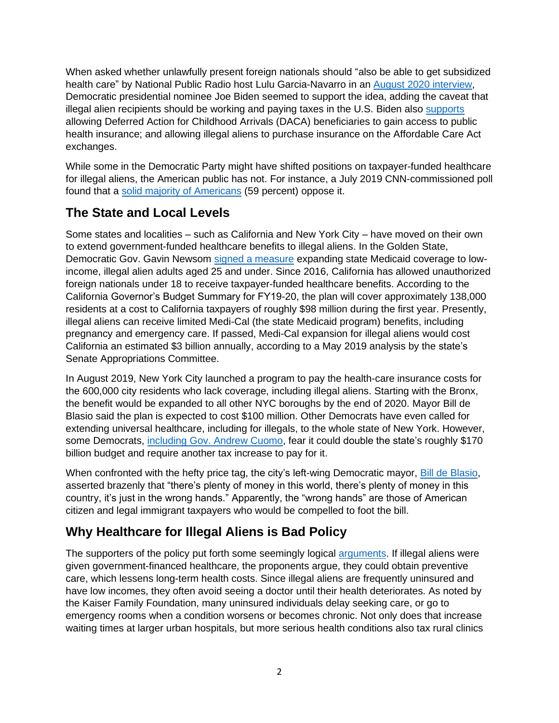When asked whether unlawfully present foreign nationals should "also be able to get subsidized health care" by National Public Radio host Lulu Garcia-Navarro in an [August 2020](https://www.youtube.com/watch?time_continue=913&v=iCpyx2T-lDA&feature=emb_logo) interview, Democratic presidential nominee Joe Biden seemed to support the idea, adding the caveat that illegal alien recipients should be working and paying taxes in the U.S. Biden also [supports](https://joebiden.com/wp-content/uploads/2020/08/UNITY-TASK-FORCE-RECOMMENDATIONS.pdf) allowing Deferred Action for Childhood Arrivals (DACA) beneficiaries to gain access to public health insurance; and allowing illegal aliens to purchase insurance on the Affordable Care Act exchanges.

While some in the Democratic Party might have shifted positions on taxpayer-funded healthcare for illegal aliens, the American public has not. For instance, a July 2019 CNN-commissioned poll found that a [solid majority of Americans](http://cdn.cnn.com/cnn/2019/images/07/01/rel8a.-.democrats.and.healthcare.pdf) (59 percent) oppose it.

## **The State and Local Levels**

Some states and localities – such as California and New York City – have moved on their own to extend government-funded healthcare benefits to illegal aliens. In the Golden State, Democratic Gov. Gavin Newsom [signed a measure](https://www.npr.org/2019/07/10/740147546/california-first-state-to-offer-health-benefits-to-adult-undocumented-immigrants) expanding state Medicaid coverage to lowincome, illegal alien adults aged 25 and under. Since 2016, California has allowed unauthorized foreign nationals under 18 to receive taxpayer-funded healthcare benefits. According to the California Governor's Budget Summary for FY19-20, the plan will cover approximately 138,000 residents at a cost to California taxpayers of roughly \$98 million during the first year. Presently, illegal aliens can receive limited Medi-Cal (the state Medicaid program) benefits, including pregnancy and emergency care. If passed, Medi-Cal expansion for illegal aliens would cost California an estimated \$3 billion annually, according to a May 2019 analysis by the state's Senate Appropriations Committee.

In August 2019, New York City launched a program to pay the health-care insurance costs for the 600,000 city residents who lack coverage, including illegal aliens. Starting with the Bronx, the benefit would be expanded to all other NYC boroughs by the end of 2020. Mayor Bill de Blasio said the plan is expected to cost \$100 million. Other Democrats have even called for extending universal healthcare, including for illegals, to the whole state of New York. However, some Democrats, [including Gov. Andrew Cuomo,](https://www.lohud.com/story/news/politics/politics-on-the-hudson/2019/01/08/how-new-york-city-provide-health-care-all-city-residents/2511988002/) fear it could double the state's roughly \$170 billion budget and require another tax increase to pay for it.

When confronted with the hefty price tag, the city's left-wing Democratic mayor, [Bill de Blasio,](https://nypost.com/2019/05/07/de-blasio-rolls-out-health-care-plan-for-illegal-immigrants/) asserted brazenly that "there's plenty of money in this world, there's plenty of money in this country, it's just in the wrong hands." Apparently, the "wrong hands" are those of American citizen and legal immigrant taxpayers who would be compelled to foot the bill.

# **Why Healthcare for Illegal Aliens is Bad Policy**

The supporters of the policy put forth some seemingly logical [arguments](https://www.kff.org/disparities-policy/issue-brief/health-coverage-and-care-of-undocumented-immigrants/). If illegal aliens were given government-financed healthcare, the proponents argue, they could obtain preventive care, which lessens long-term health costs. Since illegal aliens are frequently uninsured and have low incomes, they often avoid seeing a doctor until their health deteriorates. As noted by the Kaiser Family Foundation, many uninsured individuals delay seeking care, or go to emergency rooms when a condition worsens or becomes chronic. Not only does that increase waiting times at larger urban hospitals, but more serious health conditions also tax rural clinics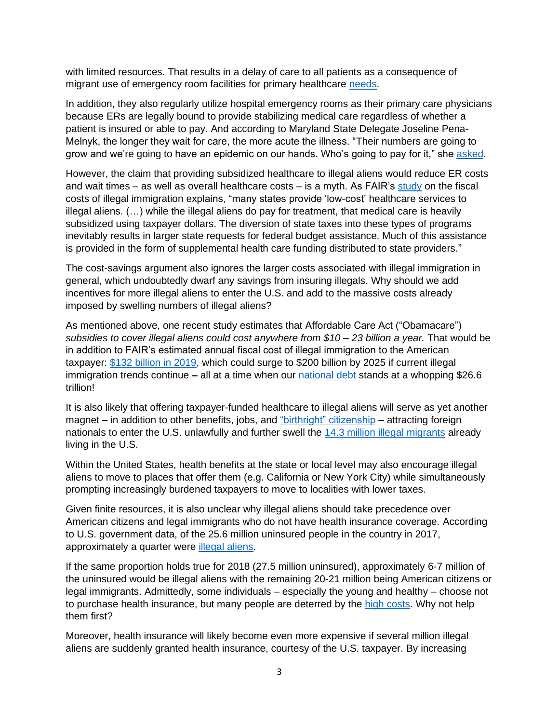with limited resources. That results in a delay of care to all patients as a consequence of migrant use of emergency room facilities for primary healthcare [needs.](https://pdfs.semanticscholar.org/50f4/21fcb2209c1a5cbad0dcb9b393fe0ebeaef3.pdf)

In addition, they also regularly utilize hospital emergency rooms as their primary care physicians because ERs are legally bound to provide stabilizing medical care regardless of whether a patient is insured or able to pay. And according to Maryland State Delegate Joseline Pena-Melnyk, the longer they wait for care, the more acute the illness. "Their numbers are going to grow and we're going to have an epidemic on our hands. Who's going to pay for it," she [asked.](https://money.cnn.com/2018/01/04/news/economy/undocumented-immigrants-health-care/index.html)

However, the claim that providing subsidized healthcare to illegal aliens would reduce ER costs and wait times – as well as overall healthcare costs – is a myth. As FAIR's [study](https://www.fairus.org/sites/default/files/2017-09/Fiscal-Burden-of-Illegal-Immigration-2017.pdf) on the fiscal costs of illegal immigration explains, "many states provide 'low-cost' healthcare services to illegal aliens. (…) while the illegal aliens do pay for treatment, that medical care is heavily subsidized using taxpayer dollars. The diversion of state taxes into these types of programs inevitably results in larger state requests for federal budget assistance. Much of this assistance is provided in the form of supplemental health care funding distributed to state providers."

The cost-savings argument also ignores the larger costs associated with illegal immigration in general, which undoubtedly dwarf any savings from insuring illegals. Why should we add incentives for more illegal aliens to enter the U.S. and add to the massive costs already imposed by swelling numbers of illegal aliens?

As mentioned above, one recent study estimates that Affordable Care Act ("Obamacare") *subsidies to cover illegal aliens could cost anywhere from \$10 – 23 billion a year.* That would be in addition to FAIR's estimated annual fiscal cost of illegal immigration to the American taxpayer: \$132 [billion in 2019,](https://www.fairus.org/issue/illegal-immigration/how-many-illegal-aliens-united-states) which could surge to \$200 billion by 2025 if current illegal immigration trends continue **–** all at a time when our [national debt](https://www.usdebtclock.org/) stands at a whopping \$26.6 trillion!

It is also likely that offering taxpayer-funded healthcare to illegal aliens will serve as yet another magnet – in addition to other benefits, jobs, and ["birthright" citizenship](https://www.fairus.org/issue/legal-immigration/birthright-citizenship-and-illegal-immigration) – attracting foreign nationals to enter the U.S. unlawfully and further swell the [14.3 million illegal migrants](https://www.fairus.org/issue/illegal-immigration/how-many-illegal-aliens-united-states) already living in the U.S.

Within the United States, health benefits at the state or local level may also encourage illegal aliens to move to places that offer them (e.g. California or New York City) while simultaneously prompting increasingly burdened taxpayers to move to localities with lower taxes.

Given finite resources, it is also unclear why illegal aliens should take precedence over American citizens and legal immigrants who do not have health insurance coverage. According to U.S. government data, of the 25.6 million uninsured people in the country in 2017, approximately a quarter were *illegal aliens*.

If the same proportion holds true for 2018 (27.5 million uninsured), approximately 6-7 million of the uninsured would be illegal aliens with the remaining 20-21 million being American citizens or legal immigrants. Admittedly, some individuals – especially the young and healthy – choose not to purchase health insurance, but many people are deterred by the [high costs.](https://khn.org/news/health-insurance-costs-crushing-many-people-who-dont-get-federal-subsidies/) Why not help them first?

Moreover, health insurance will likely become even more expensive if several million illegal aliens are suddenly granted health insurance, courtesy of the U.S. taxpayer. By increasing